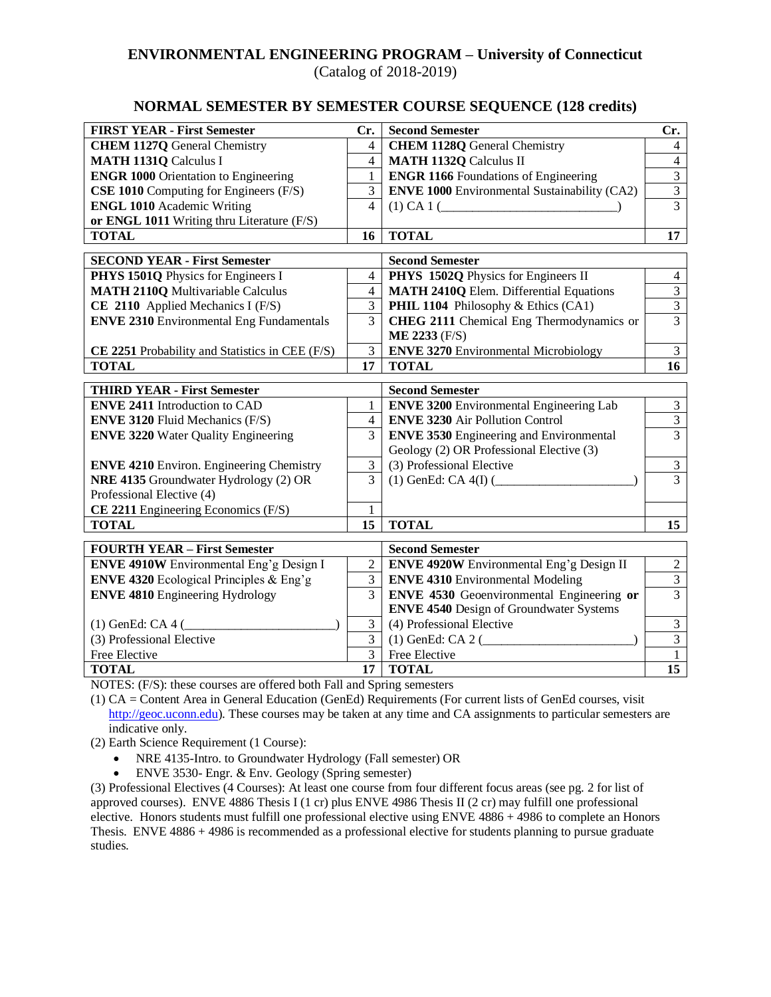## **ENVIRONMENTAL ENGINEERING PROGRAM – University of Connecticut**

(Catalog of 2018-2019)

## **NORMAL SEMESTER BY SEMESTER COURSE SEQUENCE (128 credits)**

| <b>FIRST YEAR - First Semester</b>                     | Cr.                              | <b>Second Semester</b>                              | Cr.                              |
|--------------------------------------------------------|----------------------------------|-----------------------------------------------------|----------------------------------|
| <b>CHEM 1127Q</b> General Chemistry                    | 4                                | <b>CHEM 1128Q General Chemistry</b>                 | 4                                |
| <b>MATH 1131Q Calculus I</b>                           | 4                                | <b>MATH 1132Q Calculus II</b>                       | $\overline{4}$                   |
| <b>ENGR 1000 Orientation to Engineering</b>            | 1                                | <b>ENGR 1166</b> Foundations of Engineering         | $\overline{3}$                   |
| CSE 1010 Computing for Engineers (F/S)                 | 3                                | <b>ENVE 1000</b> Environmental Sustainability (CA2) | $\overline{3}$                   |
| <b>ENGL 1010</b> Academic Writing                      | $\overline{\mathcal{L}}$         | (1) CA 1 (                                          | $\overline{3}$                   |
| or ENGL 1011 Writing thru Literature (F/S)             |                                  |                                                     |                                  |
| <b>TOTAL</b>                                           | 16                               | <b>TOTAL</b>                                        | 17                               |
|                                                        |                                  |                                                     |                                  |
| <b>SECOND YEAR - First Semester</b>                    |                                  | <b>Second Semester</b>                              |                                  |
| PHYS 1501Q Physics for Engineers I                     | 4                                | PHYS 1502Q Physics for Engineers II                 | $\overline{4}$                   |
| <b>MATH 2110Q Multivariable Calculus</b>               | $\overline{4}$                   | <b>MATH 2410Q Elem. Differential Equations</b>      | $\overline{3}$                   |
| CE 2110 Applied Mechanics I (F/S)                      | 3                                | PHIL 1104 Philosophy & Ethics (CA1)                 | $\overline{3}$                   |
| <b>ENVE 2310 Environmental Eng Fundamentals</b>        | $\overline{3}$                   | CHEG 2111 Chemical Eng Thermodynamics or            | $\overline{3}$                   |
|                                                        |                                  | <b>ME 2233 (F/S)</b>                                |                                  |
| CE 2251 Probability and Statistics in CEE (F/S)        | $\overline{3}$                   | <b>ENVE 3270 Environmental Microbiology</b>         | $\overline{3}$                   |
| <b>TOTAL</b>                                           | 17                               | <b>TOTAL</b>                                        | 16                               |
| <b>THIRD YEAR - First Semester</b>                     |                                  | <b>Second Semester</b>                              |                                  |
| <b>ENVE 2411 Introduction to CAD</b>                   | 1                                | <b>ENVE 3200</b> Environmental Engineering Lab      | $\overline{3}$                   |
| <b>ENVE 3120 Fluid Mechanics (F/S)</b>                 | $\overline{4}$                   | <b>ENVE 3230 Air Pollution Control</b>              | $\overline{3}$                   |
| <b>ENVE 3220 Water Quality Engineering</b>             | 3                                | <b>ENVE 3530 Engineering and Environmental</b>      | $\overline{3}$                   |
|                                                        |                                  | Geology (2) OR Professional Elective (3)            |                                  |
| <b>ENVE 4210</b> Environ. Engineering Chemistry        | 3                                | (3) Professional Elective                           | $\ensuremath{\mathfrak{Z}}$      |
| NRE 4135 Groundwater Hydrology (2) OR                  | 3                                | $(1)$ GenEd: CA 4(I) $($                            | $\overline{3}$                   |
| Professional Elective (4)                              |                                  |                                                     |                                  |
| CE 2211 Engineering Economics (F/S)                    | 1                                |                                                     |                                  |
| <b>TOTAL</b>                                           | 15                               | <b>TOTAL</b>                                        | 15                               |
|                                                        |                                  |                                                     |                                  |
| <b>FOURTH YEAR - First Semester</b>                    |                                  | <b>Second Semester</b>                              |                                  |
| ENVE 4910W Environmental Eng'g Design I                | $\overline{2}$<br>$\overline{3}$ | <b>ENVE 4920W</b> Environmental Eng'g Design II     | $\overline{2}$<br>$\overline{3}$ |
| <b>ENVE 4320</b> Ecological Principles & Eng'g         | 3                                | <b>ENVE 4310 Environmental Modeling</b>             | $\overline{3}$                   |
| <b>ENVE 4810</b> Engineering Hydrology                 |                                  | <b>ENVE 4530</b> Geoenvironmental Engineering or    |                                  |
|                                                        |                                  | <b>ENVE 4540</b> Design of Groundwater Systems      |                                  |
| $(1)$ GenEd: CA 4 ( $\_\_\_\_\_\_\_\_\_\_\_\_\_\_\_\_$ | 3<br>$\overline{3}$              | (4) Professional Elective                           | $\overline{3}$                   |
| (3) Professional Elective                              |                                  | $(1)$ GenEd: CA 2 (                                 | $\overline{3}$                   |
| Free Elective                                          | 3                                | Free Elective                                       | $\mathbf{1}$                     |
| <b>TOTAL</b>                                           | 17                               | <b>TOTAL</b>                                        | 15                               |

NOTES: (F/S): these courses are offered both Fall and Spring semesters

(1) CA = Content Area in General Education (GenEd) Requirements (For current lists of GenEd courses, visit [http://geoc.uconn.edu\)](http://geoc.uconn.edu/). These courses may be taken at any time and CA assignments to particular semesters are indicative only.

(2) Earth Science Requirement (1 Course):

- NRE 4135-Intro. to Groundwater Hydrology (Fall semester) OR
- ENVE 3530- Engr. & Env. Geology (Spring semester)

(3) Professional Electives (4 Courses): At least one course from four different focus areas (see pg. 2 for list of approved courses). ENVE 4886 Thesis I (1 cr) plus ENVE 4986 Thesis II (2 cr) may fulfill one professional elective. Honors students must fulfill one professional elective using ENVE 4886 + 4986 to complete an Honors Thesis. ENVE 4886 + 4986 is recommended as a professional elective for students planning to pursue graduate studies.